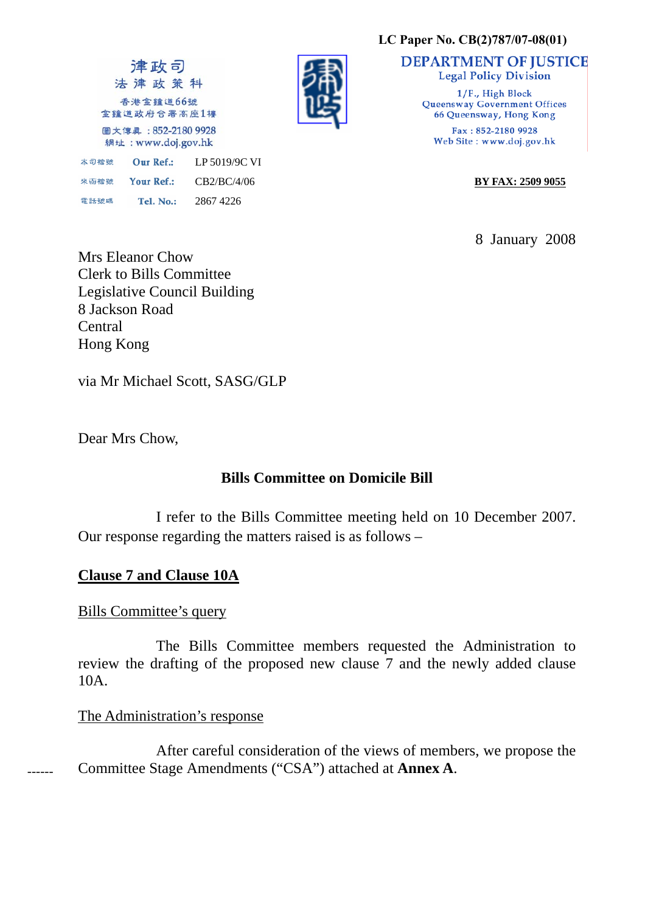#### **LC Paper No. CB(2)787/07-08(01)**

津政司 法津政策科 香港金鐘道66號 金鐘道政府合署高座1樓 圖文傳眞: 852-2180 9928 網址: www.doj.gov.hk 本司檔號 Our Ref.: LP 5019/9C VI 来函檔號 Your Ref.: 電話號碼 Tel. No.: 2867 4226



**DEPARTMENT OF JUSTICE Legal Policy Division** 

> 1/F., High Block **Queensway Government Offices** 66 Queensway, Hong Kong Fax: 852-2180 9928 Web Site: www.doj.gov.hk

CB2/BC/4/06 **BY FAX: 2509 9055**

8 January 2008

Mrs Eleanor Chow Clerk to Bills Committee Legislative Council Building 8 Jackson Road **Central** Hong Kong

via Mr Michael Scott, SASG/GLP

Dear Mrs Chow,

## **Bills Committee on Domicile Bill**

 I refer to the Bills Committee meeting held on 10 December 2007. Our response regarding the matters raised is as follows –

# **Clause 7 and Clause 10A**

## Bills Committee's query

 The Bills Committee members requested the Administration to review the drafting of the proposed new clause 7 and the newly added clause 10A.

## The Administration's response

 After careful consideration of the views of members, we propose the Committee Stage Amendments ("CSA") attached at **Annex A**.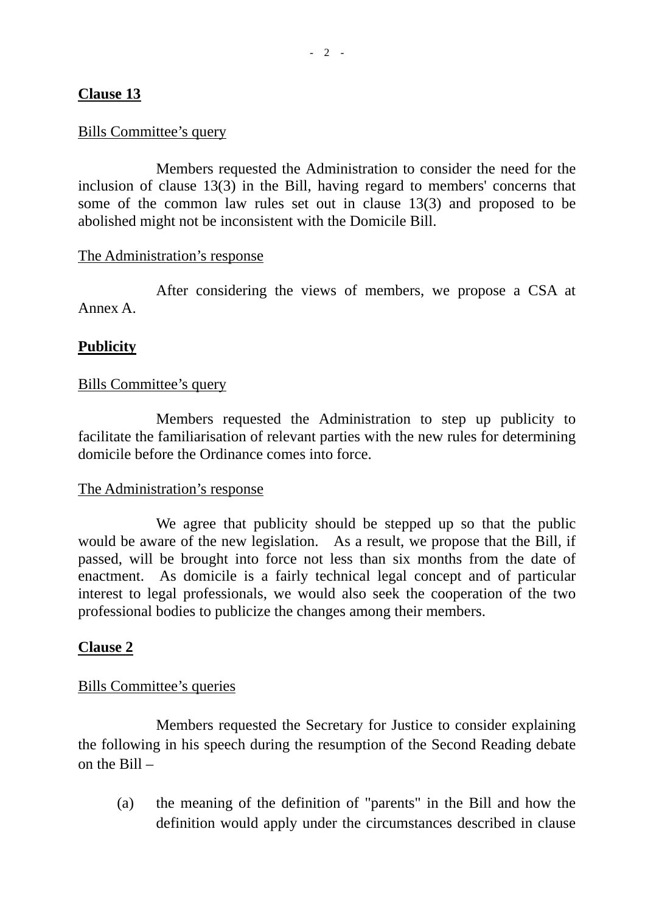## **Clause 13**

## Bills Committee's query

 Members requested the Administration to consider the need for the inclusion of clause 13(3) in the Bill, having regard to members' concerns that some of the common law rules set out in clause 13(3) and proposed to be abolished might not be inconsistent with the Domicile Bill.

### The Administration's response

 After considering the views of members, we propose a CSA at Annex A.

## **Publicity**

## Bills Committee's query

 Members requested the Administration to step up publicity to facilitate the familiarisation of relevant parties with the new rules for determining domicile before the Ordinance comes into force.

### The Administration's response

We agree that publicity should be stepped up so that the public would be aware of the new legislation. As a result, we propose that the Bill, if passed, will be brought into force not less than six months from the date of enactment. As domicile is a fairly technical legal concept and of particular interest to legal professionals, we would also seek the cooperation of the two professional bodies to publicize the changes among their members.

## **Clause 2**

### Bills Committee's queries

 Members requested the Secretary for Justice to consider explaining the following in his speech during the resumption of the Second Reading debate on the Bill –

 (a) the meaning of the definition of "parents" in the Bill and how the definition would apply under the circumstances described in clause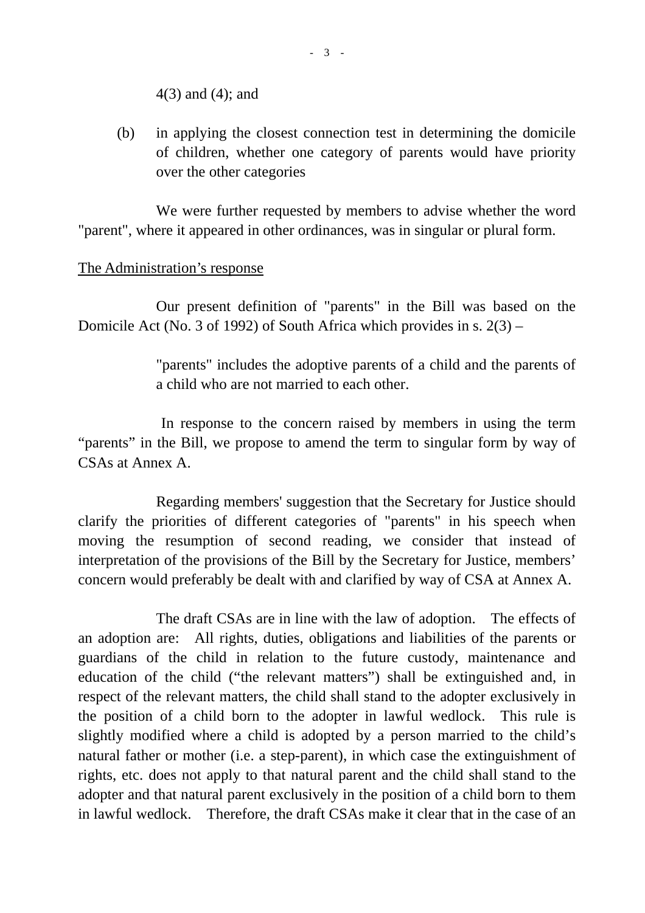4(3) and (4); and

 (b) in applying the closest connection test in determining the domicile of children, whether one category of parents would have priority over the other categories

 We were further requested by members to advise whether the word "parent", where it appeared in other ordinances, was in singular or plural form.

## The Administration's response

 Our present definition of "parents" in the Bill was based on the Domicile Act (No. 3 of 1992) of South Africa which provides in s. 2(3) –

> "parents" includes the adoptive parents of a child and the parents of a child who are not married to each other.

 In response to the concern raised by members in using the term "parents" in the Bill, we propose to amend the term to singular form by way of CSAs at Annex A.

 Regarding members' suggestion that the Secretary for Justice should clarify the priorities of different categories of "parents" in his speech when moving the resumption of second reading, we consider that instead of interpretation of the provisions of the Bill by the Secretary for Justice, members' concern would preferably be dealt with and clarified by way of CSA at Annex A.

 The draft CSAs are in line with the law of adoption. The effects of an adoption are: All rights, duties, obligations and liabilities of the parents or guardians of the child in relation to the future custody, maintenance and education of the child ("the relevant matters") shall be extinguished and, in respect of the relevant matters, the child shall stand to the adopter exclusively in the position of a child born to the adopter in lawful wedlock. This rule is slightly modified where a child is adopted by a person married to the child's natural father or mother (i.e. a step-parent), in which case the extinguishment of rights, etc. does not apply to that natural parent and the child shall stand to the adopter and that natural parent exclusively in the position of a child born to them in lawful wedlock. Therefore, the draft CSAs make it clear that in the case of an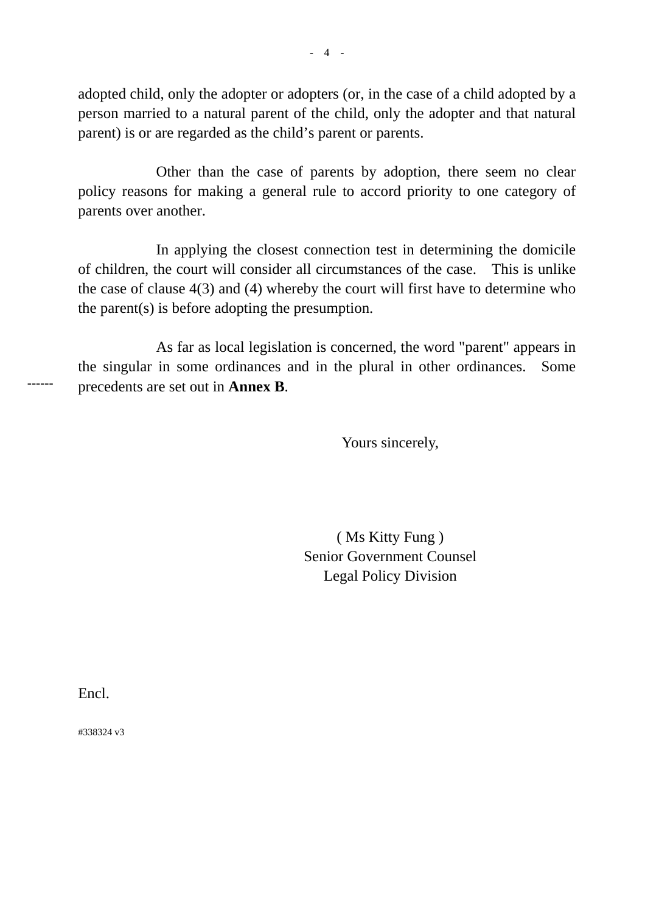adopted child, only the adopter or adopters (or, in the case of a child adopted by a person married to a natural parent of the child, only the adopter and that natural parent) is or are regarded as the child's parent or parents.

 Other than the case of parents by adoption, there seem no clear policy reasons for making a general rule to accord priority to one category of parents over another.

 In applying the closest connection test in determining the domicile of children, the court will consider all circumstances of the case. This is unlike the case of clause 4(3) and (4) whereby the court will first have to determine who the parent(s) is before adopting the presumption.

 As far as local legislation is concerned, the word "parent" appears in the singular in some ordinances and in the plural in other ordinances. Some precedents are set out in **Annex B**.

Yours sincerely,

 ( Ms Kitty Fung ) Senior Government Counsel Legal Policy Division

Encl.

------

#338324 v3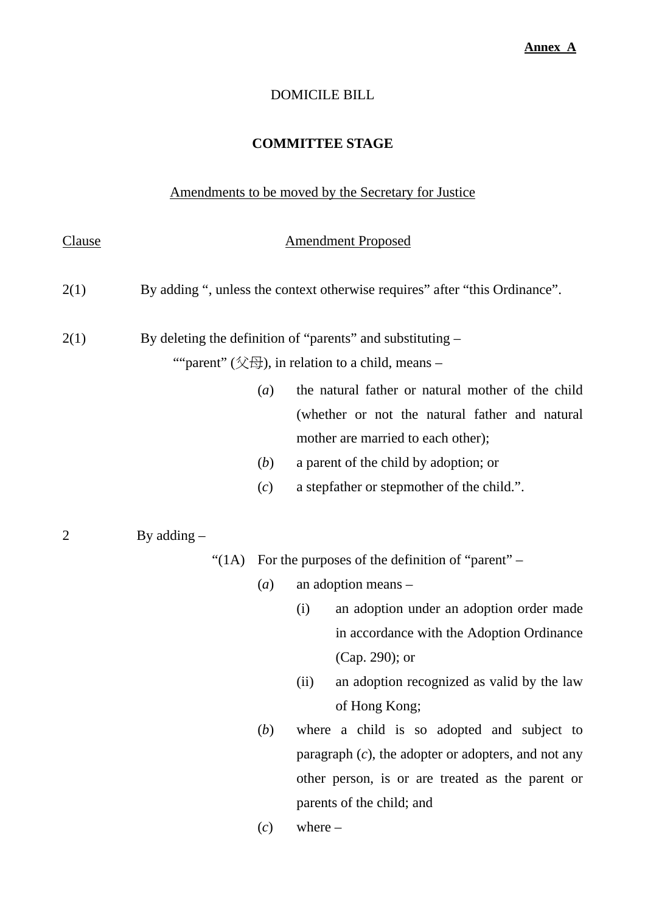## DOMICILE BILL

# **COMMITTEE STAGE**

# Amendments to be moved by the Secretary for Justice

| <u>Clause</u>    | <b>Amendment Proposed</b>                                                   |                                                                                                                                                                                       |  |
|------------------|-----------------------------------------------------------------------------|---------------------------------------------------------------------------------------------------------------------------------------------------------------------------------------|--|
| 2(1)             | By adding ", unless the context otherwise requires" after "this Ordinance". |                                                                                                                                                                                       |  |
| 2(1)             | By deleting the definition of "parents" and substituting –                  |                                                                                                                                                                                       |  |
|                  | ""parent" (父母), in relation to a child, means -                             |                                                                                                                                                                                       |  |
|                  | $\left(a\right)$                                                            | the natural father or natural mother of the child                                                                                                                                     |  |
|                  |                                                                             | (whether or not the natural father and natural                                                                                                                                        |  |
|                  |                                                                             | mother are married to each other);                                                                                                                                                    |  |
|                  | (b)                                                                         | a parent of the child by adoption; or                                                                                                                                                 |  |
|                  | (c)                                                                         | a stepfather or stepmother of the child.".                                                                                                                                            |  |
| $\overline{2}$   | By adding $-$<br>"(1A)                                                      | For the purposes of the definition of "parent" –                                                                                                                                      |  |
| $\left(a\right)$ |                                                                             | an adoption means -                                                                                                                                                                   |  |
|                  |                                                                             | an adoption under an adoption order made<br>(i)<br>in accordance with the Adoption Ordinance<br>(Cap. 290); or<br>an adoption recognized as valid by the law<br>(ii)<br>of Hong Kong; |  |
|                  | (b)                                                                         | where a child is so adopted and subject to                                                                                                                                            |  |
|                  |                                                                             | paragraph $(c)$ , the adopter or adopters, and not any                                                                                                                                |  |
|                  |                                                                             | other person, is or are treated as the parent or                                                                                                                                      |  |
|                  |                                                                             | parents of the child; and                                                                                                                                                             |  |
|                  | (c)                                                                         | where $-$                                                                                                                                                                             |  |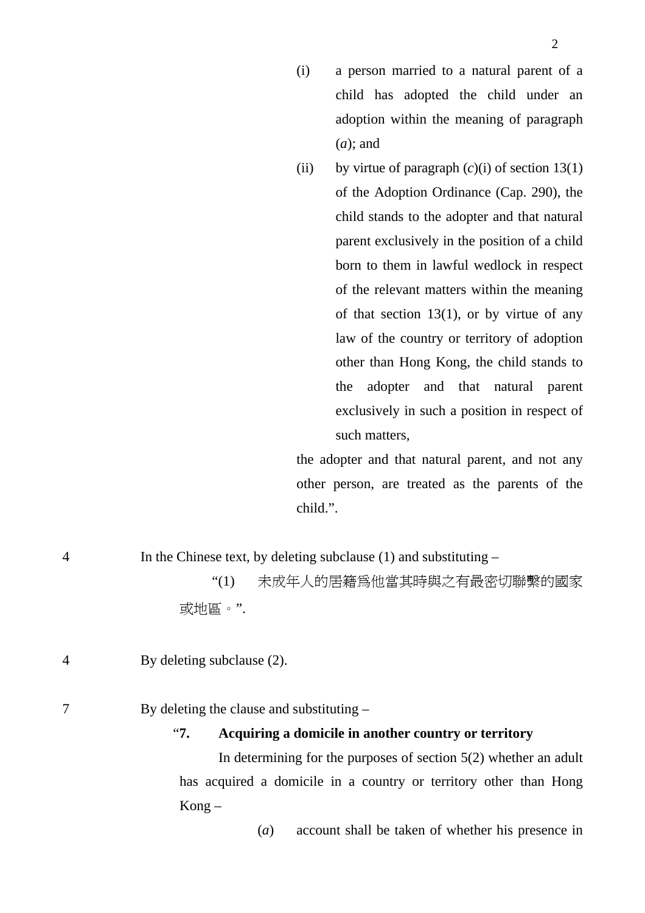- (i) a person married to a natural parent of a child has adopted the child under an adoption within the meaning of paragraph (*a*); and
- (ii) by virtue of paragraph  $(c)(i)$  of section 13(1) of the Adoption Ordinance (Cap. 290), the child stands to the adopter and that natural parent exclusively in the position of a child born to them in lawful wedlock in respect of the relevant matters within the meaning of that section  $13(1)$ , or by virtue of any law of the country or territory of adoption other than Hong Kong, the child stands to the adopter and that natural parent exclusively in such a position in respect of such matters,

the adopter and that natural parent, and not any other person, are treated as the parents of the child.".

| $\overline{4}$ | In the Chinese text, by deleting subclause $(1)$ and substituting –                                 |  |  |
|----------------|-----------------------------------------------------------------------------------------------------|--|--|
|                | 未成年人的居籍爲他當其時與之有最密切聯繫的國家<br>$\lq(1)$                                                                 |  |  |
|                | 或地區。".                                                                                              |  |  |
| $\overline{4}$ | By deleting subclause (2).                                                                          |  |  |
|                | By deleting the clause and substituting $-$<br>Acquiring a domicile in another country or territory |  |  |
|                |                                                                                                     |  |  |

 In determining for the purposes of section 5(2) whether an adult has acquired a domicile in a country or territory other than Hong Kong –

(*a*) account shall be taken of whether his presence in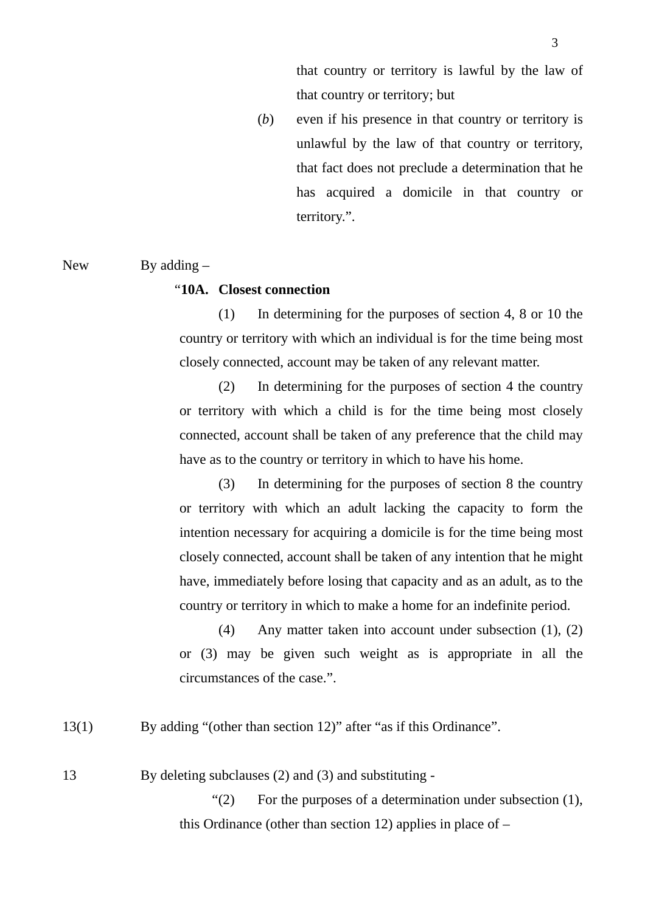(*b*) even if his presence in that country or territory is unlawful by the law of that country or territory, that fact does not preclude a determination that he has acquired a domicile in that country or territory.".

#### New By adding –

#### "**10A. Closest connection**

(1) In determining for the purposes of section 4, 8 or 10 the country or territory with which an individual is for the time being most closely connected, account may be taken of any relevant matter.

(2) In determining for the purposes of section 4 the country or territory with which a child is for the time being most closely connected, account shall be taken of any preference that the child may have as to the country or territory in which to have his home.

(3) In determining for the purposes of section 8 the country or territory with which an adult lacking the capacity to form the intention necessary for acquiring a domicile is for the time being most closely connected, account shall be taken of any intention that he might have, immediately before losing that capacity and as an adult, as to the country or territory in which to make a home for an indefinite period.

(4) Any matter taken into account under subsection (1), (2) or (3) may be given such weight as is appropriate in all the circumstances of the case.".

13(1) By adding "(other than section 12)" after "as if this Ordinance".

13 By deleting subclauses (2) and (3) and substituting -

"(2) For the purposes of a determination under subsection (1), this Ordinance (other than section 12) applies in place of –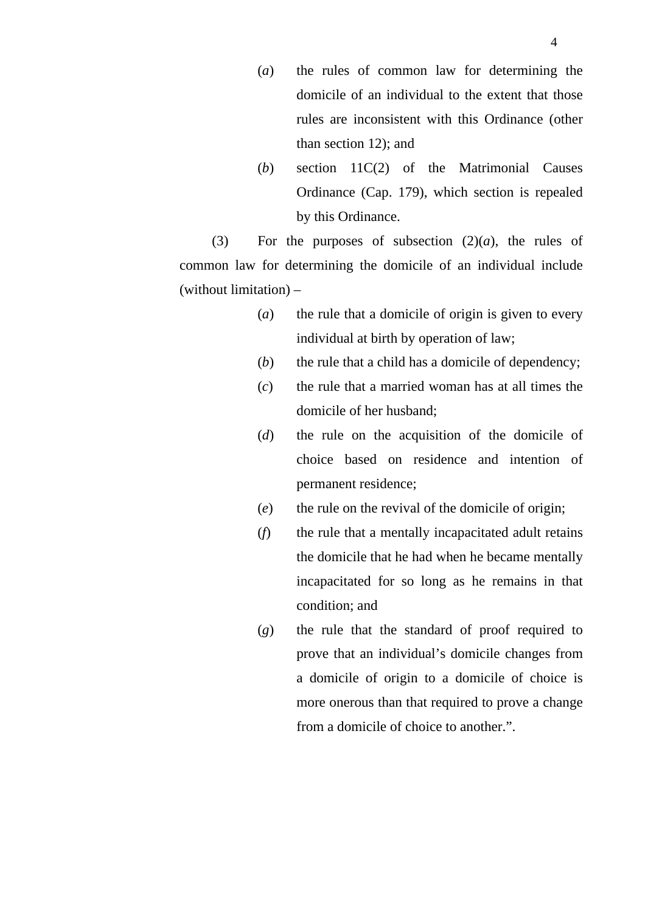- (*a*) the rules of common law for determining the domicile of an individual to the extent that those rules are inconsistent with this Ordinance (other than section 12); and
- (*b*) section 11C(2) of the Matrimonial Causes Ordinance (Cap. 179), which section is repealed by this Ordinance.

(3) For the purposes of subsection  $(2)(a)$ , the rules of common law for determining the domicile of an individual include (without limitation) –

- (*a*) the rule that a domicile of origin is given to every individual at birth by operation of law;
- (*b*) the rule that a child has a domicile of dependency;
- (*c*) the rule that a married woman has at all times the domicile of her husband;
- (*d*) the rule on the acquisition of the domicile of choice based on residence and intention of permanent residence;
- (*e*) the rule on the revival of the domicile of origin;
- (*f*) the rule that a mentally incapacitated adult retains the domicile that he had when he became mentally incapacitated for so long as he remains in that condition; and
- (*g*) the rule that the standard of proof required to prove that an individual's domicile changes from a domicile of origin to a domicile of choice is more onerous than that required to prove a change from a domicile of choice to another.".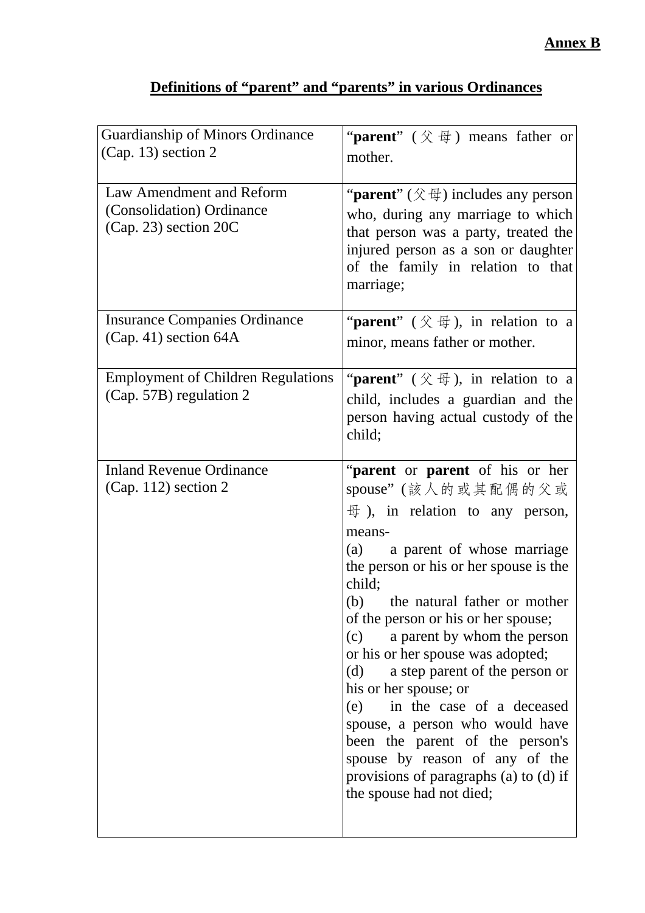| Guardianship of Minors Ordinance<br>$(Cap. 13)$ section 2                      | " <b>parent</b> " $(\Diamond \oplus \Diamond)$ means father or<br>mother.                                                                                                                                                                                                                                                                                                                                                                                                                                                                                                                                                              |
|--------------------------------------------------------------------------------|----------------------------------------------------------------------------------------------------------------------------------------------------------------------------------------------------------------------------------------------------------------------------------------------------------------------------------------------------------------------------------------------------------------------------------------------------------------------------------------------------------------------------------------------------------------------------------------------------------------------------------------|
| Law Amendment and Reform<br>(Consolidation) Ordinance<br>(Cap. 23) section 20C | " <b>parent</b> " $(\hat{\chi} \oplus)$ includes any person<br>who, during any marriage to which<br>that person was a party, treated the<br>injured person as a son or daughter<br>of the family in relation to that<br>marriage;                                                                                                                                                                                                                                                                                                                                                                                                      |
| <b>Insurance Companies Ordinance</b><br>$(Cap. 41)$ section 64A                | "parent" $(\mathcal{K} \oplus)$ , in relation to a<br>minor, means father or mother.                                                                                                                                                                                                                                                                                                                                                                                                                                                                                                                                                   |
| <b>Employment of Children Regulations</b><br>(Cap. 57B) regulation 2           | " <b>parent</b> " $(\hat{\chi} \oplus \hat{\mu})$ , in relation to a<br>child, includes a guardian and the<br>person having actual custody of the<br>child;                                                                                                                                                                                                                                                                                                                                                                                                                                                                            |
| <b>Inland Revenue Ordinance</b><br>(Cap. 112) section 2                        | "parent or parent of his or her<br>spouse"(該人的或其配偶的父或<br>$\oplus$ ), in relation to any person,<br>means-<br>(a) a parent of whose marriage<br>the person or his or her spouse is the<br>child;<br>(b)<br>the natural father or mother<br>of the person or his or her spouse;<br>a parent by whom the person<br>(c)<br>or his or her spouse was adopted;<br>(d) a step parent of the person or<br>his or her spouse; or<br>(e) in the case of a deceased<br>spouse, a person who would have<br>been the parent of the person's<br>spouse by reason of any of the<br>provisions of paragraphs (a) to (d) if<br>the spouse had not died; |

# **Definitions of "parent" and "parents" in various Ordinances**